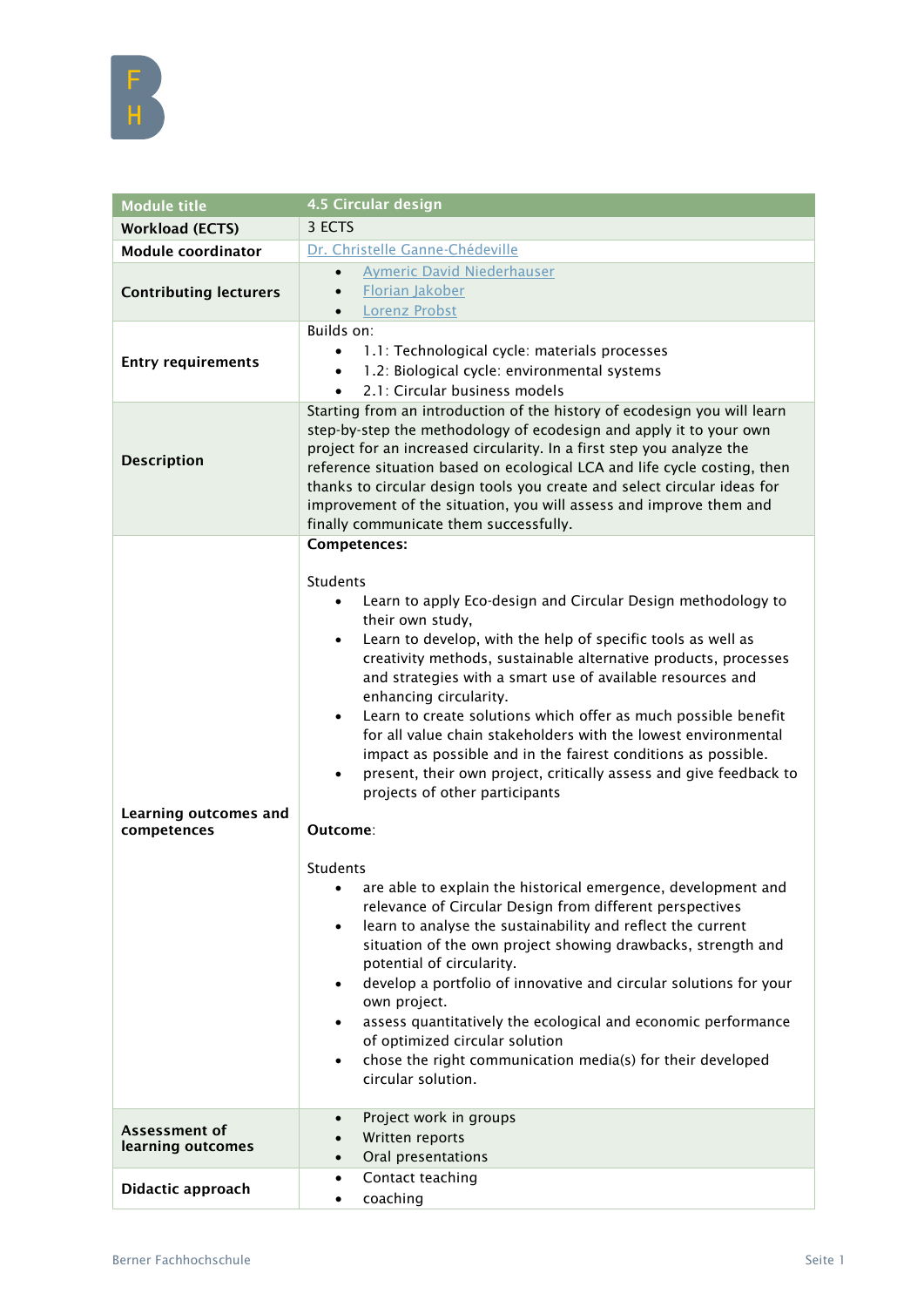| <b>Module title</b>                  | 4.5 Circular design                                                                                                                                                                                                                                                                                                                                                                                                                                                                                                                                                                                                                                                                                                                                                                                                                                                                                                                                                                                                                                                                                                                                                                                                                                                                                                      |
|--------------------------------------|--------------------------------------------------------------------------------------------------------------------------------------------------------------------------------------------------------------------------------------------------------------------------------------------------------------------------------------------------------------------------------------------------------------------------------------------------------------------------------------------------------------------------------------------------------------------------------------------------------------------------------------------------------------------------------------------------------------------------------------------------------------------------------------------------------------------------------------------------------------------------------------------------------------------------------------------------------------------------------------------------------------------------------------------------------------------------------------------------------------------------------------------------------------------------------------------------------------------------------------------------------------------------------------------------------------------------|
| <b>Workload (ECTS)</b>               | 3 ECTS                                                                                                                                                                                                                                                                                                                                                                                                                                                                                                                                                                                                                                                                                                                                                                                                                                                                                                                                                                                                                                                                                                                                                                                                                                                                                                                   |
| <b>Module coordinator</b>            | Dr. Christelle Ganne-Chédeville                                                                                                                                                                                                                                                                                                                                                                                                                                                                                                                                                                                                                                                                                                                                                                                                                                                                                                                                                                                                                                                                                                                                                                                                                                                                                          |
| <b>Contributing lecturers</b>        | <b>Aymeric David Niederhauser</b><br>$\bullet$<br>Florian Jakober<br>$\bullet$<br><b>Lorenz Probst</b><br>$\bullet$                                                                                                                                                                                                                                                                                                                                                                                                                                                                                                                                                                                                                                                                                                                                                                                                                                                                                                                                                                                                                                                                                                                                                                                                      |
| <b>Entry requirements</b>            | Builds on:<br>1.1: Technological cycle: materials processes<br>1.2: Biological cycle: environmental systems<br>2.1: Circular business models                                                                                                                                                                                                                                                                                                                                                                                                                                                                                                                                                                                                                                                                                                                                                                                                                                                                                                                                                                                                                                                                                                                                                                             |
| <b>Description</b>                   | Starting from an introduction of the history of ecodesign you will learn<br>step-by-step the methodology of ecodesign and apply it to your own<br>project for an increased circularity. In a first step you analyze the<br>reference situation based on ecological LCA and life cycle costing, then<br>thanks to circular design tools you create and select circular ideas for<br>improvement of the situation, you will assess and improve them and<br>finally communicate them successfully.                                                                                                                                                                                                                                                                                                                                                                                                                                                                                                                                                                                                                                                                                                                                                                                                                          |
| Learning outcomes and<br>competences | Competences:<br><b>Students</b><br>Learn to apply Eco-design and Circular Design methodology to<br>$\bullet$<br>their own study,<br>Learn to develop, with the help of specific tools as well as<br>$\bullet$<br>creativity methods, sustainable alternative products, processes<br>and strategies with a smart use of available resources and<br>enhancing circularity.<br>Learn to create solutions which offer as much possible benefit<br>٠<br>for all value chain stakeholders with the lowest environmental<br>impact as possible and in the fairest conditions as possible.<br>present, their own project, critically assess and give feedback to<br>$\bullet$<br>projects of other participants<br>Outcome:<br>Students<br>• are able to explain the historical emergence, development and<br>relevance of Circular Design from different perspectives<br>learn to analyse the sustainability and reflect the current<br>$\bullet$<br>situation of the own project showing drawbacks, strength and<br>potential of circularity.<br>develop a portfolio of innovative and circular solutions for your<br>own project.<br>assess quantitatively the ecological and economic performance<br>of optimized circular solution<br>chose the right communication media(s) for their developed<br>٠<br>circular solution. |
| Assessment of<br>learning outcomes   | Project work in groups<br>$\bullet$<br>Written reports<br>Oral presentations<br>$\bullet$                                                                                                                                                                                                                                                                                                                                                                                                                                                                                                                                                                                                                                                                                                                                                                                                                                                                                                                                                                                                                                                                                                                                                                                                                                |
| Didactic approach                    | Contact teaching<br>٠<br>coaching<br>$\bullet$                                                                                                                                                                                                                                                                                                                                                                                                                                                                                                                                                                                                                                                                                                                                                                                                                                                                                                                                                                                                                                                                                                                                                                                                                                                                           |